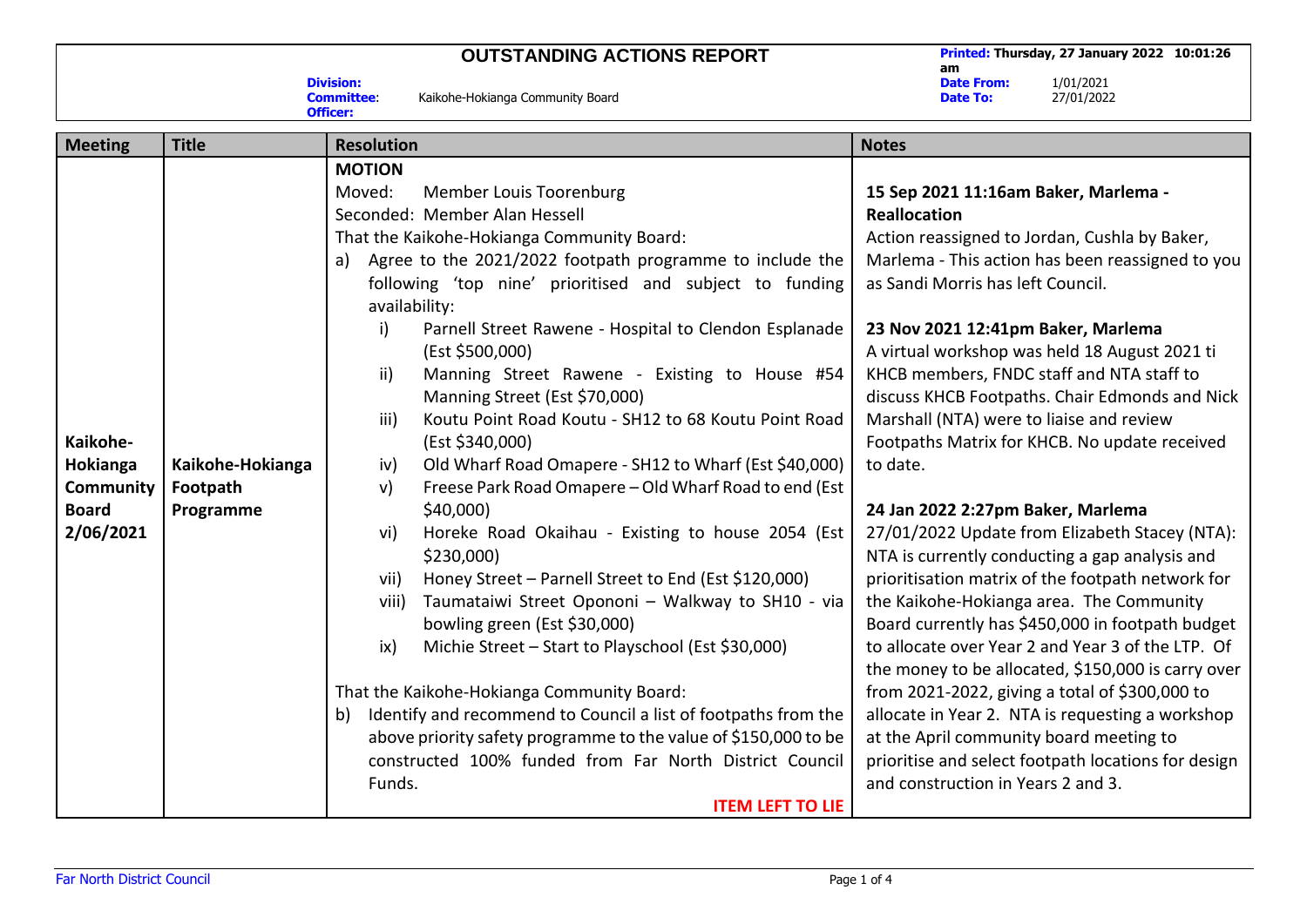## **OUTSTANDING ACTIONS REPORT Printed: Thursday, 27 January 2022 10:01:26**

**am Date From:** 1/01/2021<br>**Date To:** 27/01/2022 **Date To:** 27/01/2022

| <b>Division:</b> |                                  |
|------------------|----------------------------------|
| <b>Committee</b> | Kaikohe-Hokianga Community Board |
| <b>Officer:</b>  |                                  |

| <b>Meeting</b>                                                        | <b>Title</b>                              | <b>Resolution</b>                                                                                                                                                                                                                                                                                                                                                                                                                                                                                                                                                                                                                                                                                                                                                                                                                                                                                                                                                                                                                                                                                                                                                                                                                                                                                 | <b>Notes</b>                                                                                                                                                                                                                                                                                                                                                                                                                                                                                                                                                                                                                                                                                                                                                                                                                                                                                                                                                                                                                                                                                                                                                |
|-----------------------------------------------------------------------|-------------------------------------------|---------------------------------------------------------------------------------------------------------------------------------------------------------------------------------------------------------------------------------------------------------------------------------------------------------------------------------------------------------------------------------------------------------------------------------------------------------------------------------------------------------------------------------------------------------------------------------------------------------------------------------------------------------------------------------------------------------------------------------------------------------------------------------------------------------------------------------------------------------------------------------------------------------------------------------------------------------------------------------------------------------------------------------------------------------------------------------------------------------------------------------------------------------------------------------------------------------------------------------------------------------------------------------------------------|-------------------------------------------------------------------------------------------------------------------------------------------------------------------------------------------------------------------------------------------------------------------------------------------------------------------------------------------------------------------------------------------------------------------------------------------------------------------------------------------------------------------------------------------------------------------------------------------------------------------------------------------------------------------------------------------------------------------------------------------------------------------------------------------------------------------------------------------------------------------------------------------------------------------------------------------------------------------------------------------------------------------------------------------------------------------------------------------------------------------------------------------------------------|
| Kaikohe-<br>Hokianga<br><b>Community</b><br><b>Board</b><br>2/06/2021 | Kaikohe-Hokianga<br>Footpath<br>Programme | <b>MOTION</b><br>Moved:<br>Member Louis Toorenburg<br>Seconded: Member Alan Hessell<br>That the Kaikohe-Hokianga Community Board:<br>Agree to the 2021/2022 footpath programme to include the<br>a)<br>following 'top nine' prioritised and subject to funding<br>availability:<br>i)<br>Parnell Street Rawene - Hospital to Clendon Esplanade<br>(Est \$500,000)<br>ii)<br>Manning Street Rawene - Existing to House #54<br>Manning Street (Est \$70,000)<br>iii)<br>Koutu Point Road Koutu - SH12 to 68 Koutu Point Road<br>(Est \$340,000)<br>Old Wharf Road Omapere - SH12 to Wharf (Est \$40,000)<br>iv)<br>Freese Park Road Omapere - Old Wharf Road to end (Est<br>$\mathsf{v}$<br>\$40,000)<br>Horeke Road Okaihau - Existing to house 2054 (Est<br>vi)<br>\$230,000)<br>Honey Street - Parnell Street to End (Est \$120,000)<br>vii)<br>Taumataiwi Street Opononi - Walkway to SH10 - via<br>viii)<br>bowling green (Est \$30,000)<br>ix)<br>Michie Street - Start to Playschool (Est \$30,000)<br>That the Kaikohe-Hokianga Community Board:<br>Identify and recommend to Council a list of footpaths from the<br>b)<br>above priority safety programme to the value of \$150,000 to be<br>constructed 100% funded from Far North District Council<br>Funds.<br><b>ITEM LEFT TO LIE</b> | 15 Sep 2021 11:16am Baker, Marlema -<br><b>Reallocation</b><br>Action reassigned to Jordan, Cushla by Baker,<br>Marlema - This action has been reassigned to you<br>as Sandi Morris has left Council.<br>23 Nov 2021 12:41pm Baker, Marlema<br>A virtual workshop was held 18 August 2021 ti<br>KHCB members, FNDC staff and NTA staff to<br>discuss KHCB Footpaths. Chair Edmonds and Nick<br>Marshall (NTA) were to liaise and review<br>Footpaths Matrix for KHCB. No update received<br>to date.<br>24 Jan 2022 2:27pm Baker, Marlema<br>27/01/2022 Update from Elizabeth Stacey (NTA):<br>NTA is currently conducting a gap analysis and<br>prioritisation matrix of the footpath network for<br>the Kaikohe-Hokianga area. The Community<br>Board currently has \$450,000 in footpath budget<br>to allocate over Year 2 and Year 3 of the LTP. Of<br>the money to be allocated, \$150,000 is carry over<br>from 2021-2022, giving a total of \$300,000 to<br>allocate in Year 2. NTA is requesting a workshop<br>at the April community board meeting to<br>prioritise and select footpath locations for design<br>and construction in Years 2 and 3. |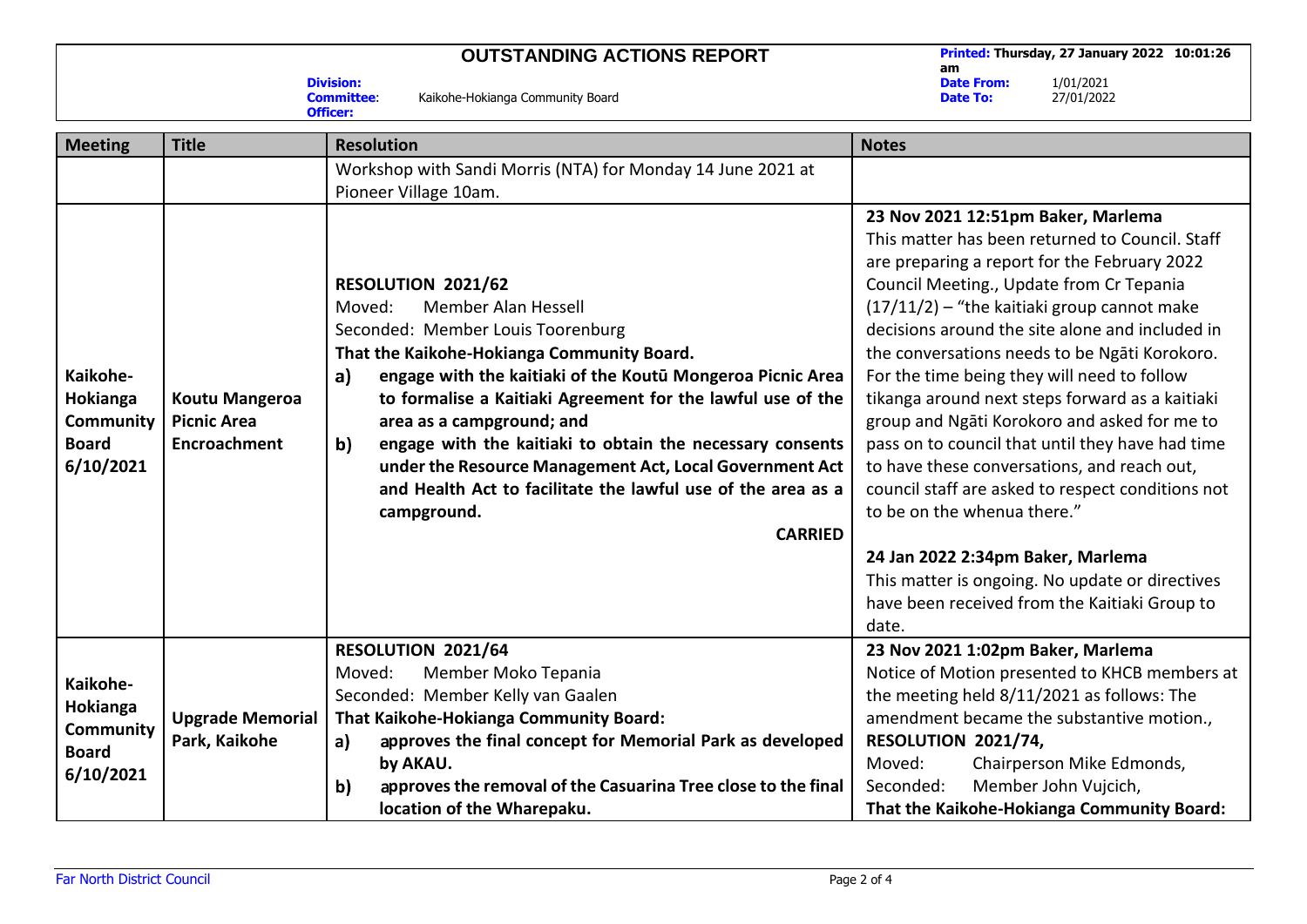## **OUTSTANDING ACTIONS REPORT Printed: Thursday, 27 January 2022 10:01:26**

**am Date From:** 1/01/2021<br>**Date To:** 27/01/2022 **Date To:** 27/01/2022

**Division:** Kaikohe-Hokianga Community Board **Officer:**

| <b>Meeting</b>                                                        | <b>Title</b>                                                       | <b>Resolution</b>                                                                                                                                                                                                                                                                                                                                                                                                                                                                                                                     | <b>Notes</b>                                                                                                                                                                                                                                                                                                                                                                                                                                                                                                                                                                                                                                                                                                                                                                                                                      |
|-----------------------------------------------------------------------|--------------------------------------------------------------------|---------------------------------------------------------------------------------------------------------------------------------------------------------------------------------------------------------------------------------------------------------------------------------------------------------------------------------------------------------------------------------------------------------------------------------------------------------------------------------------------------------------------------------------|-----------------------------------------------------------------------------------------------------------------------------------------------------------------------------------------------------------------------------------------------------------------------------------------------------------------------------------------------------------------------------------------------------------------------------------------------------------------------------------------------------------------------------------------------------------------------------------------------------------------------------------------------------------------------------------------------------------------------------------------------------------------------------------------------------------------------------------|
|                                                                       |                                                                    | Workshop with Sandi Morris (NTA) for Monday 14 June 2021 at<br>Pioneer Village 10am.                                                                                                                                                                                                                                                                                                                                                                                                                                                  |                                                                                                                                                                                                                                                                                                                                                                                                                                                                                                                                                                                                                                                                                                                                                                                                                                   |
| Kaikohe-<br>Hokianga<br>Community<br><b>Board</b><br>6/10/2021        | <b>Koutu Mangeroa</b><br><b>Picnic Area</b><br><b>Encroachment</b> | RESOLUTION 2021/62<br>Member Alan Hessell<br>Moved:<br>Seconded: Member Louis Toorenburg<br>That the Kaikohe-Hokianga Community Board.<br>engage with the kaitiaki of the Koutū Mongeroa Picnic Area<br>a)<br>to formalise a Kaitiaki Agreement for the lawful use of the<br>area as a campground; and<br>engage with the kaitiaki to obtain the necessary consents<br>b)<br>under the Resource Management Act, Local Government Act<br>and Health Act to facilitate the lawful use of the area as a<br>campground.<br><b>CARRIED</b> | 23 Nov 2021 12:51pm Baker, Marlema<br>This matter has been returned to Council. Staff<br>are preparing a report for the February 2022<br>Council Meeting., Update from Cr Tepania<br>$(17/11/2)$ - "the kaitiaki group cannot make<br>decisions around the site alone and included in<br>the conversations needs to be Ngati Korokoro.<br>For the time being they will need to follow<br>tikanga around next steps forward as a kaitiaki<br>group and Ngati Korokoro and asked for me to<br>pass on to council that until they have had time<br>to have these conversations, and reach out,<br>council staff are asked to respect conditions not<br>to be on the whenua there."<br>24 Jan 2022 2:34pm Baker, Marlema<br>This matter is ongoing. No update or directives<br>have been received from the Kaitiaki Group to<br>date. |
| Kaikohe-<br>Hokianga<br><b>Community</b><br><b>Board</b><br>6/10/2021 | <b>Upgrade Memorial</b><br>Park, Kaikohe                           | RESOLUTION 2021/64<br>Member Moko Tepania<br>Moved:<br>Seconded: Member Kelly van Gaalen<br>That Kaikohe-Hokianga Community Board:<br>approves the final concept for Memorial Park as developed<br>a)                                                                                                                                                                                                                                                                                                                                 | 23 Nov 2021 1:02pm Baker, Marlema<br>Notice of Motion presented to KHCB members at<br>the meeting held 8/11/2021 as follows: The<br>amendment became the substantive motion.,<br>RESOLUTION 2021/74,                                                                                                                                                                                                                                                                                                                                                                                                                                                                                                                                                                                                                              |
|                                                                       |                                                                    | by AKAU.<br>b)<br>approves the removal of the Casuarina Tree close to the final<br>location of the Wharepaku.                                                                                                                                                                                                                                                                                                                                                                                                                         | Moved:<br>Chairperson Mike Edmonds,<br>Member John Vujcich,<br>Seconded:<br>That the Kaikohe-Hokianga Community Board:                                                                                                                                                                                                                                                                                                                                                                                                                                                                                                                                                                                                                                                                                                            |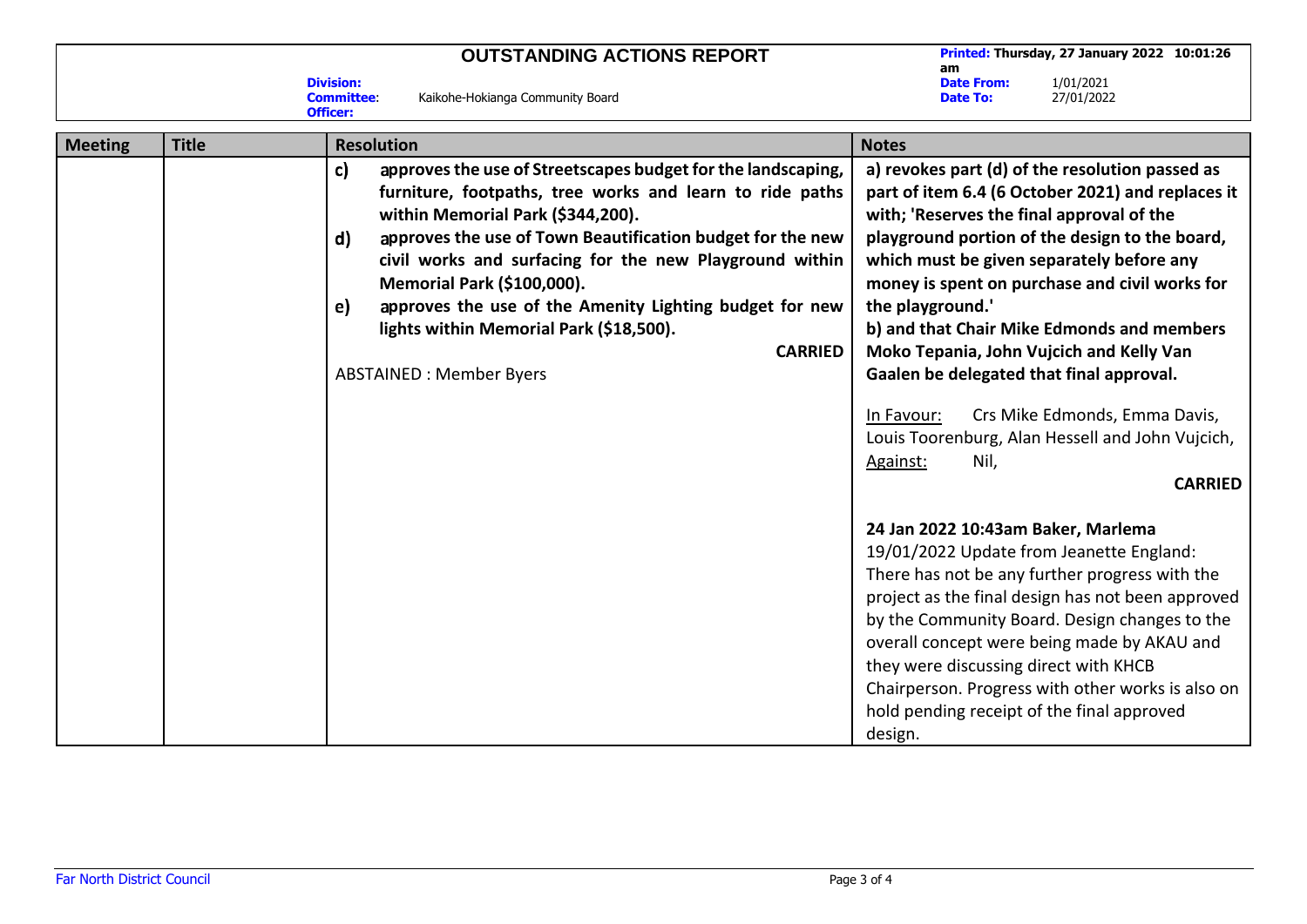|                |       |                                                          | <b>OUTSTANDING ACTIONS REPORT</b>                           | <b>Printed: Thursday, 27 January 2022 10:01:26</b><br>am |                                                 |
|----------------|-------|----------------------------------------------------------|-------------------------------------------------------------|----------------------------------------------------------|-------------------------------------------------|
|                |       | <b>Division:</b><br><b>Committee:</b><br><b>Officer:</b> | Kaikohe-Hokianga Community Board                            | <b>Date From:</b><br><b>Date To:</b>                     | 1/01/2021<br>27/01/2022                         |
| <b>Meeting</b> | Title | <b>Resolution</b>                                        |                                                             | <b>Notes</b>                                             |                                                 |
|                |       |                                                          | annroves the use of Streetscanes hudget for the landscaning |                                                          | a) revokes nart (d) of the resolution nassed as |

| םייי--יי |                                                                    |                                                   |
|----------|--------------------------------------------------------------------|---------------------------------------------------|
|          | approves the use of Streetscapes budget for the landscaping,<br>c) | a) revokes part (d) of the resolution passed as   |
|          | furniture, footpaths, tree works and learn to ride paths           | part of item 6.4 (6 October 2021) and replaces it |
|          | within Memorial Park (\$344,200).                                  | with; 'Reserves the final approval of the         |
|          | approves the use of Town Beautification budget for the new<br>d)   | playground portion of the design to the board,    |
|          | civil works and surfacing for the new Playground within            | which must be given separately before any         |
|          | <b>Memorial Park (\$100,000).</b>                                  | money is spent on purchase and civil works for    |
|          | approves the use of the Amenity Lighting budget for new<br>e)      | the playground.'                                  |
|          | lights within Memorial Park (\$18,500).                            | b) and that Chair Mike Edmonds and members        |
|          | <b>CARRIED</b>                                                     | Moko Tepania, John Vujcich and Kelly Van          |
|          | <b>ABSTAINED: Member Byers</b>                                     | Gaalen be delegated that final approval.          |
|          |                                                                    |                                                   |
|          |                                                                    | Crs Mike Edmonds, Emma Davis,<br>In Favour:       |
|          |                                                                    | Louis Toorenburg, Alan Hessell and John Vujcich,  |
|          |                                                                    | Against:<br>Nil,                                  |
|          |                                                                    | <b>CARRIED</b>                                    |
|          |                                                                    |                                                   |
|          |                                                                    | 24 Jan 2022 10:43am Baker, Marlema                |
|          |                                                                    | 19/01/2022 Update from Jeanette England:          |
|          |                                                                    | There has not be any further progress with the    |
|          |                                                                    | project as the final design has not been approved |
|          |                                                                    | by the Community Board. Design changes to the     |
|          |                                                                    | overall concept were being made by AKAU and       |
|          |                                                                    | they were discussing direct with KHCB             |
|          |                                                                    | Chairperson. Progress with other works is also on |
|          |                                                                    | hold pending receipt of the final approved        |
|          |                                                                    | design.                                           |
|          |                                                                    |                                                   |